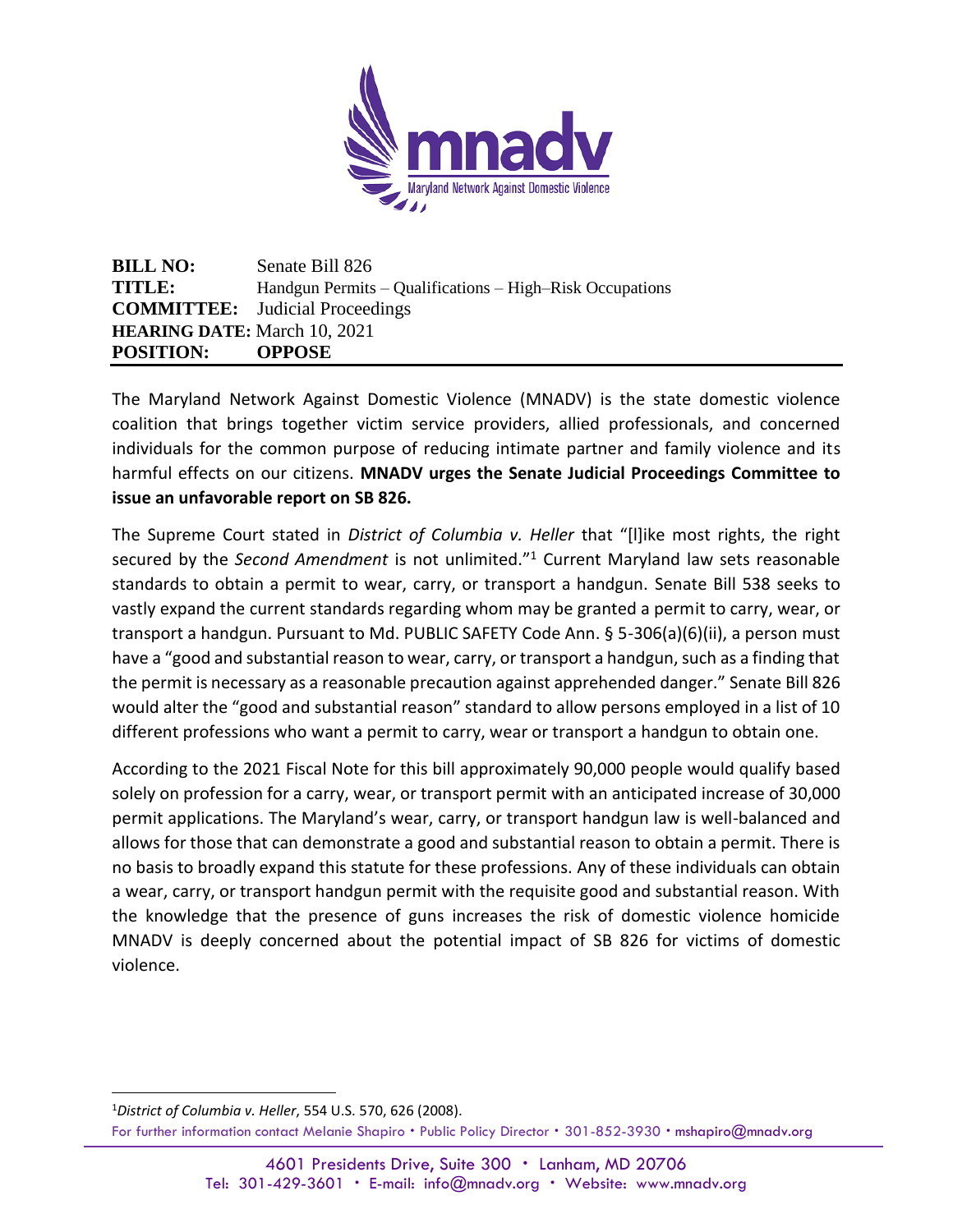

**BILL NO:** Senate Bill 826 **TITLE:** Handgun Permits – Qualifications – High–Risk Occupations **COMMITTEE:** Judicial Proceedings **HEARING DATE:** March 10, 2021 **POSITION: OPPOSE**

The Maryland Network Against Domestic Violence (MNADV) is the state domestic violence coalition that brings together victim service providers, allied professionals, and concerned individuals for the common purpose of reducing intimate partner and family violence and its harmful effects on our citizens. **MNADV urges the Senate Judicial Proceedings Committee to issue an unfavorable report on SB 826.** 

The Supreme Court stated in *District of Columbia v. Heller* that "[l]ike most rights, the right secured by the *Second Amendment* is not unlimited."<sup>1</sup> Current Maryland law sets reasonable standards to obtain a permit to wear, carry, or transport a handgun. Senate Bill 538 seeks to vastly expand the current standards regarding whom may be granted a permit to carry, wear, or transport a handgun. Pursuant to Md. PUBLIC SAFETY Code Ann. § 5-306(a)(6)(ii), a person must have a "good and substantial reason to wear, carry, or transport a handgun, such as a finding that the permit is necessary as a reasonable precaution against apprehended danger." Senate Bill 826 would alter the "good and substantial reason" standard to allow persons employed in a list of 10 different professions who want a permit to carry, wear or transport a handgun to obtain one.

According to the 2021 Fiscal Note for this bill approximately 90,000 people would qualify based solely on profession for a carry, wear, or transport permit with an anticipated increase of 30,000 permit applications. The Maryland's wear, carry, or transport handgun law is well-balanced and allows for those that can demonstrate a good and substantial reason to obtain a permit. There is no basis to broadly expand this statute for these professions. Any of these individuals can obtain a wear, carry, or transport handgun permit with the requisite good and substantial reason. With the knowledge that the presence of guns increases the risk of domestic violence homicide MNADV is deeply concerned about the potential impact of SB 826 for victims of domestic violence.

For further information contact Melanie Shapiro . Public Policy Director . 301-852-3930 . mshapiro@mnadv.org 1*District of Columbia v. Heller*, 554 U.S. 570, 626 (2008).